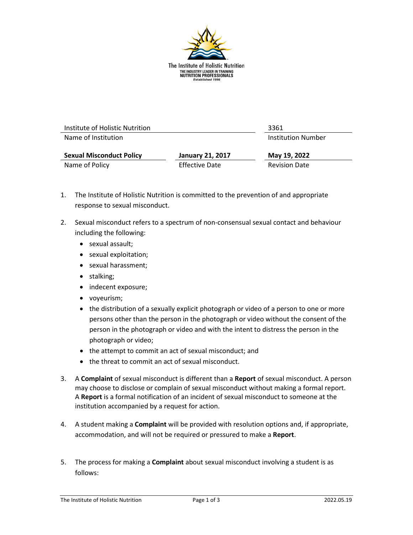

| Institute of Holistic Nutrition |                         | 3361                      |
|---------------------------------|-------------------------|---------------------------|
| Name of Institution             |                         | <b>Institution Number</b> |
| <b>Sexual Misconduct Policy</b> | <b>January 21, 2017</b> | May 19, 2022              |
| Name of Policy                  | <b>Effective Date</b>   | <b>Revision Date</b>      |

- 1. The Institute of Holistic Nutrition is committed to the prevention of and appropriate response to sexual misconduct.
- 2. Sexual misconduct refers to a spectrum of non-consensual sexual contact and behaviour including the following:
	- sexual assault;
	- sexual exploitation;
	- sexual harassment;
	- stalking;
	- indecent exposure;
	- voyeurism;
	- the distribution of a sexually explicit photograph or video of a person to one or more persons other than the person in the photograph or video without the consent of the person in the photograph or video and with the intent to distress the person in the photograph or video;
	- the attempt to commit an act of sexual misconduct; and
	- the threat to commit an act of sexual misconduct.
- 3. A **Complaint** of sexual misconduct is different than a **Report** of sexual misconduct. A person may choose to disclose or complain of sexual misconduct without making a formal report. A **Report** is a formal notification of an incident of sexual misconduct to someone at the institution accompanied by a request for action.
- 4. A student making a **Complaint** will be provided with resolution options and, if appropriate, accommodation, and will not be required or pressured to make a **Report**.
- 5. The process for making a **Complaint** about sexual misconduct involving a student is as follows: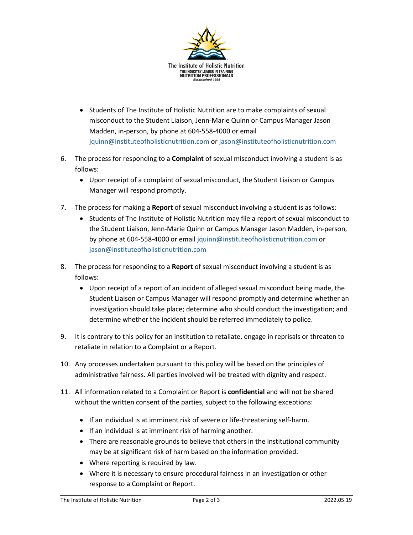

- Students of The Institute of Holistic Nutrition are to make complaints of sexual misconduct to the Student Liaison, Jenn-Marie Quinn or Campus Manager Jason Madden, in-person, by phone at 604-558-4000 or email [jquinn@instituteofholisticnutrition.com](mailto:jquinn@instituteofholisticnutrition.com) or [jason@instituteofholisticnutrition.com](mailto:jason@instituteofholisticnutrition.com)
- 6. The process for responding to a **Complaint** of sexual misconduct involving a student is as follows:
	- Upon receipt of a complaint of sexual misconduct, the Student Liaison or Campus Manager will respond promptly.
- 7. The process for making a **Report** of sexual misconduct involving a student is as follows:
	- Students of The Institute of Holistic Nutrition may file a report of sexual misconduct to the Student Liaison, Jenn-Marie Quinn or Campus Manager Jason Madden, in-person, by phone at 604-558-4000 or emai[l jquinn@instituteofholisticnutrition.com](mailto:jquinn@instituteofholisticnutrition.com) or [jason@instituteofholisticnutrition.com](mailto:jason@instituteofholisticnutrition.com)
- 8. The process for responding to a **Report** of sexual misconduct involving a student is as follows:
	- Upon receipt of a report of an incident of alleged sexual misconduct being made, the Student Liaison or Campus Manager will respond promptly and determine whether an investigation should take place; determine who should conduct the investigation; and determine whether the incident should be referred immediately to police.
- 9. It is contrary to this policy for an institution to retaliate, engage in reprisals or threaten to retaliate in relation to a Complaint or a Report.
- 10. Any processes undertaken pursuant to this policy will be based on the principles of administrative fairness. All parties involved will be treated with dignity and respect.
- 11. All information related to a Complaint or Report is **confidential** and will not be shared without the written consent of the parties, subject to the following exceptions:
	- If an individual is at imminent risk of severe or life-threatening self-harm.
	- If an individual is at imminent risk of harming another.
	- There are reasonable grounds to believe that others in the institutional community may be at significant risk of harm based on the information provided.
	- Where reporting is required by law.
	- Where it is necessary to ensure procedural fairness in an investigation or other response to a Complaint or Report.